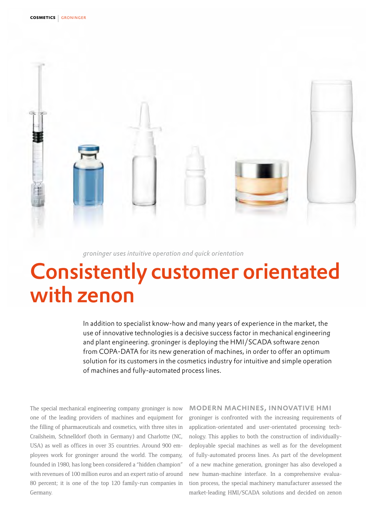

### *groninger uses intuitive operation and quick orientation*

# Consistently customer orientated with zenon

In addition to specialist know-how and many years of experience in the market, the use of innovative technologies is a decisive success factor in mechanical engineering and plant engineering. groninger is deploying the HMI/SCADA software zenon from COPA-DATA for its new generation of machines, in order to offer an optimum solution for its customers in the cosmetics industry for intuitive and simple operation of machines and fully-automated process lines.

The special mechanical engineering company groninger is now one of the leading providers of machines and equipment for the filling of pharmaceuticals and cosmetics, with three sites in Crailsheim, Schnelldorf (both in Germany) and Charlotte (NC, USA) as well as offices in over 35 countries. Around 900 employees work for groninger around the world. The company, founded in 1980, has long been considered a "hidden champion" with revenues of 100 million euros and an expert ratio of around 80 percent; it is one of the top 120 family-run companies in Germany.

#### modern machines, innovative hmi

groninger is confronted with the increasing requirements of application-orientated and user-orientated processing technology. This applies to both the construction of individuallydeployable special machines as well as for the development of fully-automated process lines. As part of the development of a new machine generation, groninger has also developed a new human-machine interface. In a comprehensive evaluation process, the special machinery manufacturer assessed the market-leading HMI/SCADA solutions and decided on zenon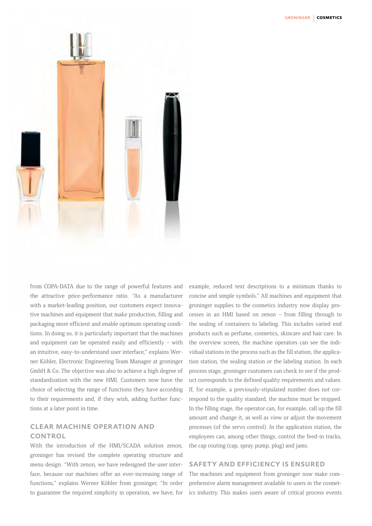

from COPA-DATA due to the range of powerful features and the attractive price-performance ratio. "As a manufacturer with a market-leading position, our customers expect innovative machines and equipment that make production, filling and packaging more efficient and enable optimum operating conditions. In doing so, it is particularly important that the machines and equipment can be operated easily and efficiently – with an intuitive, easy-to-understand user interface," explains Werner Köhler, Electronic Engineering Team Manager at groninger GmbH & Co. The objective was also to achieve a high degree of standardization with the new HMI. Customers now have the choice of selecting the range of functions they have according to their requirements and, if they wish, adding further functions at a later point in time.

## clear machine operation and CONTROL

With the introduction of the HMI/SCADA solution zenon, groninger has revised the complete operating structure and menu design. "With zenon, we have redesigned the user interface, because our machines offer an ever-increasing range of functions," explains Werner Köhler from groninger, "In order to guarantee the required simplicity in operation, we have, for example, reduced text descriptions to a minimum thanks to concise and simple symbols." All machines and equipment that groninger supplies to the cosmetics industry now display processes in an HMI based on zenon – from filling through to the sealing of containers to labeling. This includes varied end products such as perfume, cosmetics, skincare and hair care. In the overview screen, the machine operators can see the individual stations in the process such as the fill station, the application station, the sealing station or the labeling station. In each process stage, groninger customers can check to see if the product corresponds to the defined quality requirements and values. If, for example, a previously-stipulated number does not correspond to the quality standard, the machine must be stopped. In the filling stage, the operator can, for example, call up the fill amount and change it, as well as view or adjust the movement processes (of the servo control). In the application station, the employees can, among other things, control the feed-in tracks, the cap routing (cap, spray pump, plug) and jams.

#### safety and efficiency is ensured

The machines and equipment from groninger now make comprehensive alarm management available to users in the cosmetics industry. This makes users aware of critical process events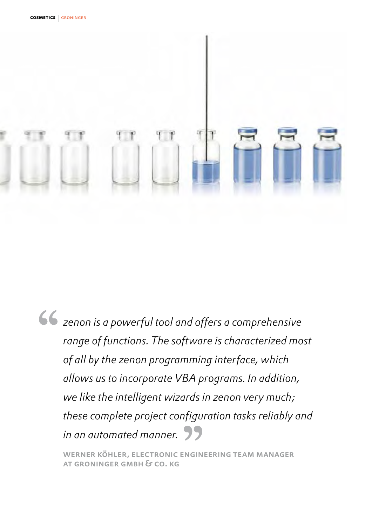

*zenon is a powerful tool and offers a comprehensive range of functions. The software is characterized most of all by the zenon programming interface, which allows us to incorporate VBA programs. In addition, we like the intelligent wizards in zenon very much; these complete project configuration tasks reliably and in an automated manner.*

werner köhler, electronic engineering team manager at groninger gmbh & co. kg